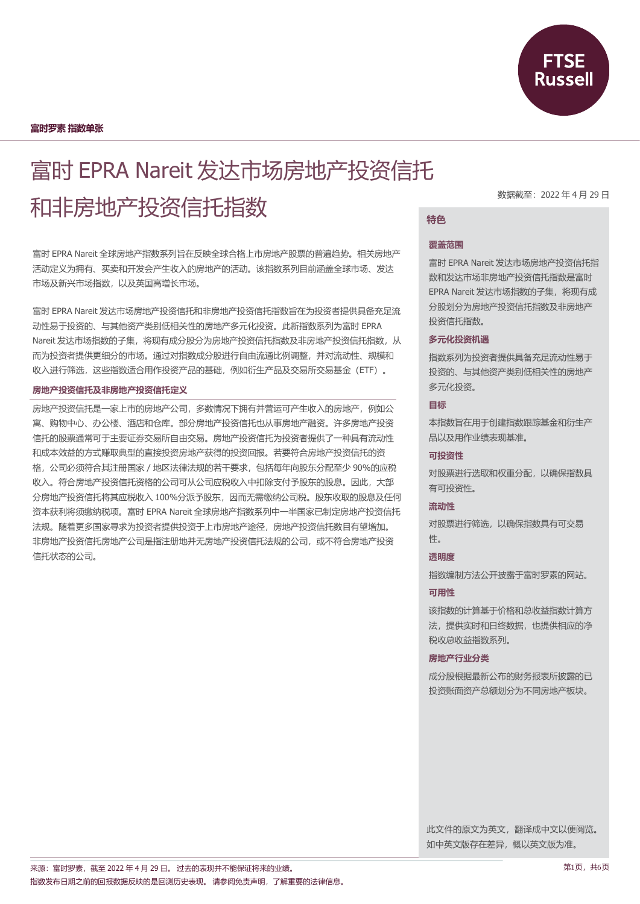

**富时罗素 指数单张**

# 富时 EPRA Nareit 发达市场房地产投资信托 和非房地产投资信托指数

富时 EPRA Nareit 全球房地产指数系列旨在反映全球合格上市房地产股票的普遍趋势。相关房地产 活动定义为拥有、买卖和开发会产生收入的房地产的活动。该指数系列目前涵盖全球市场、发达 市场及新兴市场指数,以及英国高增长市场。

富时 EPRA Nareit 发达市场房地产投资信托和非房地产投资信托指数旨在为投资者提供具备充足流 动性易于投资的、与其他资产类别低相关性的房地产多元化投资。此新指数系列为富时 EPRA Nareit 发达市场指数的子集,将现有成分股分为房地产投资信托指数及非房地产投资信托指数,从 而为投资者提供更细分的市场。通过对指数成分股进行自由流通比例调整,并对流动性、规模和 收入进行筛选,这些指数适合用作投资产品的基础,例如衍生产品及交易所交易基金(ETF)。

#### **房地产投资信托及非房地产投资信托定义**

房地产投资信托是一家上市的房地产公司,多数情况下拥有并营运可产生收入的房地产,例如公 寓、购物中心、办公楼、酒店和仓库。部分房地产投资信托也从事房地产融资。许多房地产投资 信托的股票通常可于主要证券交易所自由交易。房地产投资信托为投资者提供了一种具有流动性 和成本效益的方式赚取典型的直接投资房地产获得的投资回报。若要符合房地产投资信托的资 格,公司必须符合其注册国家/地区法律法规的若干要求,包括每年向股东分配至少 90%的应税 收入。符合房地产投资信托资格的公司可从公司应税收入中扣除支付予股东的股息。因此,大部 分房地产投资信托将其应税收入 100%分派予股东,因而无需缴纳公司税。股东收取的股息及任何 资本获利将须缴纳税项。富时 EPRA Nareit 全球房地产指数系列中一半国家已制定房地产投资信托 法规。随着更多国家寻求为投资者提供投资于上市房地产途径,房地产投资信托数目有望增加。 非房地产投资信托房地产公司是指注册地并无房地产投资信托法规的公司,或不符合房地产投资 信托状态的公司。

数据截至:2022 年 4 月 29 日

# **特色**

#### **覆盖范围**

富时 EPRA Nareit 发达市场房地产投资信托指 数和发达市场非房地产投资信托指数是富时 EPRA Nareit 发达市场指数的子集,将现有成 分股划分为房地产投资信托指数及非房地产 投资信托指数。

#### **多元化投资机遇**

指数系列为投资者提供具备充足流动性易于 投资的、与其他资产类别低相关性的房地产 多元化投资。

## **目标**

本指数旨在用于创建指数跟踪基金和衍生产 品以及用作业绩表现基准。

## **可投资性**

对股票进行选取和权重分配,以确保指数具 有可投资性。

### **流动性**

对股票进行筛选,以确保指数具有可交易 性。

## **透明度**

指数编制方法公开披露于富时罗素的网站。

## **可用性**

该指数的计算基于价格和总收益指数计算方 法,提供实时和日终数据,也提供相应的净 税收总收益指数系列。

### **房地产行业分类**

成分股根据最新公布的财务报表所披露的已 投资账面资产总额划分为不同房地产板块。

此文件的原文为英文,翻译成中文以便阅览。 如中英文版存在差异,概以英文版为准。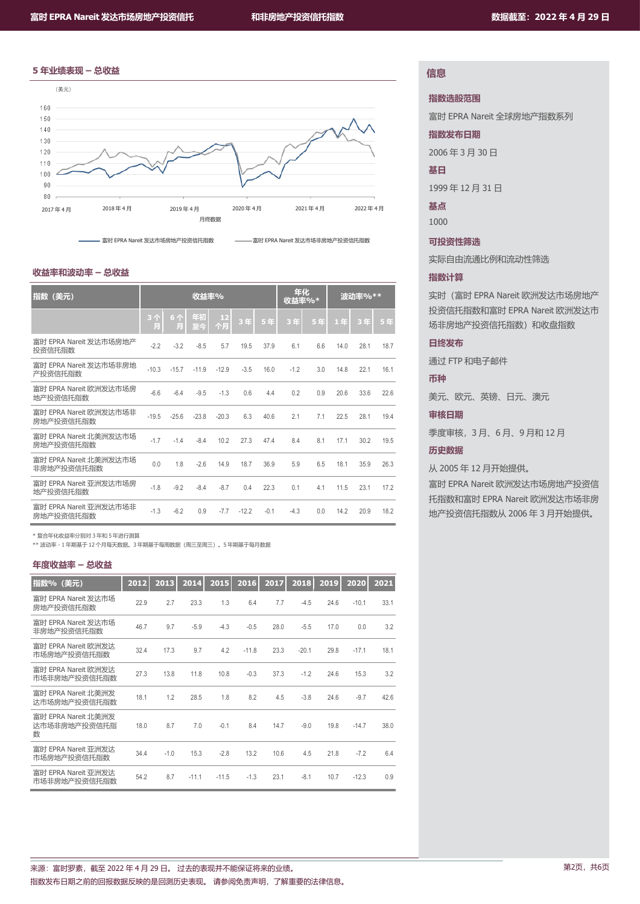



#### **收益率和波动率 – 总收益**

| 指数 (美元)                              | 收益率%    |         |          | 年化<br>收益率%* |         | 波动率%** |        |     |      |      |      |
|--------------------------------------|---------|---------|----------|-------------|---------|--------|--------|-----|------|------|------|
|                                      | 3个<br>Ħ | 6个<br>凬 | 年初<br>至今 | 12<br>个月    | 3年      | 5年     | 3年     | 5年  | 1年   | 3年   | 5年   |
| 富时 EPRA Nareit 发达市场房地产<br>投资信托指数     | $-2.2$  | $-3.2$  | $-8.5$   | 5.7         | 19.5    | 37.9   | 6.1    | 6.6 | 14.0 | 28.1 | 18.7 |
| 富时 EPRA Nareit 发达市场非房地<br>产投资信托指数    | $-10.3$ | $-15.7$ | $-11.9$  | $-12.9$     | $-3.5$  | 16.0   | $-1.2$ | 3.0 | 14.8 | 22.1 | 16.1 |
| 富时 EPRA Nareit 欧洲发达市场房<br>地产投资信托指数   | $-6.6$  | $-6.4$  | $-9.5$   | $-1.3$      | 0.6     | 4.4    | 0.2    | 0.9 | 20.6 | 33.6 | 22.6 |
| 富时 EPRA Nareit 欧洲发达市场非<br>房地产投资信托指数  | $-19.5$ | $-25.6$ | $-23.8$  | $-20.3$     | 6.3     | 40.6   | 2.1    | 7.1 | 22.5 | 28.1 | 19.4 |
| 富时 EPRA Nareit 北美洲发达市场<br>房地产投资信托指数  | $-1.7$  | $-1.4$  | $-8.4$   | 10.2        | 27.3    | 47.4   | 8.4    | 8.1 | 17.1 | 30.2 | 19.5 |
| 富时 EPRA Nareit 北美洲发达市场<br>非房地产投资信托指数 | 0.0     | 1.8     | $-2.6$   | 14.9        | 18.7    | 36.9   | 5.9    | 6.5 | 18.1 | 35.9 | 26.3 |
| 富时 EPRA Nareit 亚洲发达市场房<br>地产投资信托指数   | $-1.8$  | $-9.2$  | $-8.4$   | $-8.7$      | 0.4     | 22.3   | 0.1    | 4.1 | 11.5 | 23.1 | 17.2 |
| 富时 EPRA Nareit 亚洲发达市场非<br>房地产投资信托指数  | $-1.3$  | $-6.2$  | 0.9      | $-7.7$      | $-12.2$ | $-0.1$ | $-4.3$ | 0.0 | 14.2 | 20.9 | 18.2 |

\* 复合年化收益率分别对 3 年和 5 年进行测算

\*\* 波动率 - 1 年期基于 12 个月每天数据。3 年期基于每周数据(周三至周三)。5 年期基于每月数据

#### **年度收益率 – 总收益**

| 指数% (美元)                                 | 2012 | 2013   | 2014    | 2015    | 2016    | 2017 | 2018    | 2019 | 2020    | 2021 |
|------------------------------------------|------|--------|---------|---------|---------|------|---------|------|---------|------|
| 富时 EPRA Nareit 发达市场<br>房地产投资信托指数         | 22.9 | 2.7    | 23.3    | 1.3     | 6.4     | 7.7  | $-4.5$  | 24.6 | $-10.1$ | 33.1 |
| 富时 EPRA Nareit 发达市场<br>非房地产投资信托指数        | 46.7 | 9.7    | $-5.9$  | $-4.3$  | $-0.5$  | 28.0 | $-5.5$  | 17.0 | 0.0     | 3.2  |
| 富时 EPRA Nareit 欧洲发达<br>市场房地产投资信托指数       | 32.4 | 17.3   | 9.7     | 4.2     | $-11.8$ | 23.3 | $-20.1$ | 29.8 | $-17.1$ | 18.1 |
| 富时 EPRA Nareit 欧洲发达<br>市场非房地产投资信托指数      | 27.3 | 13.8   | 11.8    | 10.8    | $-0.3$  | 37.3 | $-1.2$  | 24.6 | 15.3    | 3.2  |
| 富时 EPRA Nareit 北美洲发<br>达市场房地产投资信托指数      | 18.1 | 1.2    | 28.5    | 1.8     | 8.2     | 4.5  | $-3.8$  | 24.6 | $-9.7$  | 42.6 |
| 富时 EPRA Nareit 北美洲发<br>达市场非房地产投资信托指<br>数 | 18.0 | 8.7    | 7.0     | $-0.1$  | 8.4     | 14.7 | $-9.0$  | 19.8 | $-14.7$ | 38.0 |
| 富时 EPRA Nareit 亚洲发达<br>市场房地产投资信托指数       | 34.4 | $-1.0$ | 15.3    | $-2.8$  | 13.2    | 10.6 | 4.5     | 21.8 | $-7.2$  | 6.4  |
| 富时 EPRA Nareit 亚洲发达<br>市场非房地产投资信托指数      | 54.2 | 8.7    | $-11.1$ | $-11.5$ | $-1.3$  | 23.1 | $-8.1$  | 10.7 | $-12.3$ | 0.9  |

# **信息**

**指数选股范围**

富时 EPRA Nareit 全球房地产指数系列

**指数发布日期**

2006 年 3 月 30 日

#### **基日**

1999 年 12 月 31 日

**基点**

1000

## **可投资性筛选**

实际自由流通比例和流动性筛选

## **指数计算**

实时(富时 EPRA Nareit 欧洲发达市场房地产 投资信托指数和富时 EPRA Nareit 欧洲发达市 场非房地产投资信托指数)和收盘指数

## **日终发布**

通过 FTP 和电子邮件

#### **币种**

美元、欧元、英镑、日元、澳元

#### **审核日期**

季度审核,3 月、6 月、9 月和 12 月

## **历史数据**

从 2005 年 12 月开始提供。

富时 EPRA Nareit 欧洲发达市场房地产投资信 托指数和富时 EPRA Nareit 欧洲发达市场非房 地产投资信托指数从 2006 年 3 月开始提供。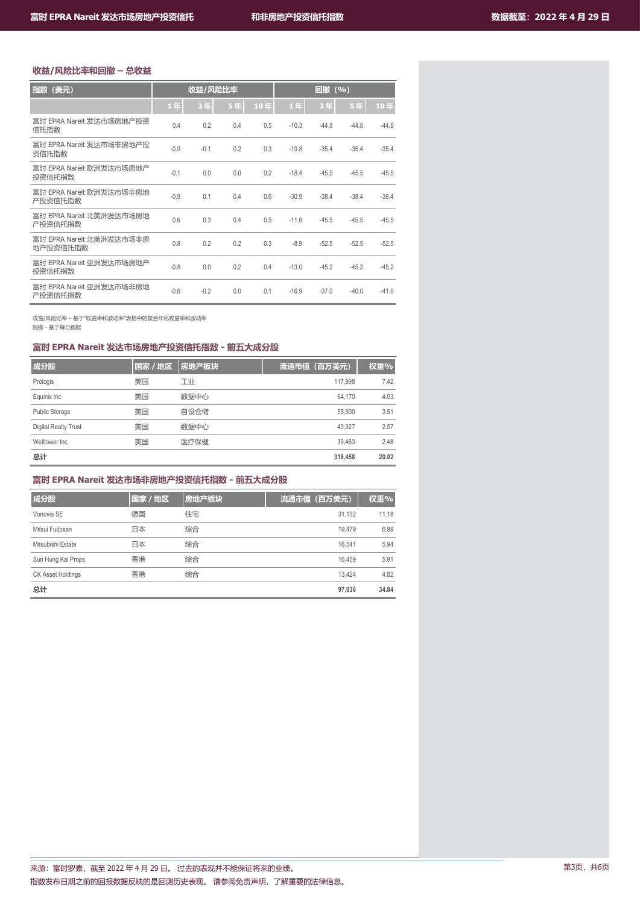# **收益/风险比率和回撤 – 总收益**

| 指数(美元)                               | 收益/风险比率 |        |     | 回撤 (%) |         |         |         |         |
|--------------------------------------|---------|--------|-----|--------|---------|---------|---------|---------|
|                                      | 1年      | 3年     | 5年  | 10年    | 1年      | 3年      | 5年      | 10年     |
| 富时 EPRA Nareit 发达市场房地产投资<br>信托指数     | 0.4     | 0.2    | 0.4 | 0.5    | $-10.3$ | $-44.8$ | $-44.8$ | $-44.8$ |
| 富时 EPRA Nareit 发达市场非房地产投<br>资信托指数    | $-0.9$  | $-0.1$ | 0.2 | 0.3    | $-19.8$ | $-35.4$ | $-35.4$ | $-35.4$ |
| 富时 EPRA Nareit 欧洲发达市场房地产<br>投资信托指数   | $-0.1$  | 0.0    | 0.0 | 0.2    | $-18.4$ | $-45.5$ | $-45.5$ | $-45.5$ |
| 富时 EPRA Nareit 欧洲发达市场非房地<br>产投资信托指数  | $-0.9$  | 0.1    | 0.4 | 0.6    | $-30.9$ | $-38.4$ | $-38.4$ | $-38.4$ |
| 富时 EPRA Nareit 北美洲发达市场房地<br>产投资信托指数  | 0.6     | 0.3    | 0.4 | 0.5    | $-11.6$ | $-45.5$ | $-45.5$ | $-45.5$ |
| 富时 EPRA Nareit 北美洲发达市场非房<br>地产投资信托指数 | 0.8     | 0.2    | 0.2 | 0.3    | $-8.9$  | $-52.5$ | $-52.5$ | $-52.5$ |
| 富时 EPRA Nareit 亚洲发达市场房地产<br>投资信托指数   | $-0.8$  | 0.0    | 0.2 | 0.4    | $-13.0$ | $-45.2$ | $-45.2$ | $-45.2$ |
| 富时 EPRA Nareit 亚洲发达市场非房地<br>产投资信托指数  | $-0.6$  | $-0.2$ | 0.0 | 0.1    | $-16.9$ | $-37.0$ | $-40.0$ | $-41.0$ |

收益/风险比率 – 基于"收益率和波动率"表格中的复合年化收益率和波动率

回撤 - 基于每日数据

# **富时 EPRA Nareit 发达市场房地产投资信托指数 - 前五大成分股**

| 成分股                         | 国家 / 地区 | 房地产板块 | 流通市值 (百万美元) | 权重%   |
|-----------------------------|---------|-------|-------------|-------|
| Prologis                    | 美国      | 工业    | 117.998     | 7.42  |
| Equinix Inc                 | 美国      | 数据中心  | 64.170      | 4.03  |
| <b>Public Storage</b>       | 美国      | 自设仓储  | 55,900      | 3.51  |
| <b>Digital Realty Trust</b> | 美国      | 数据中心  | 40.927      | 2.57  |
| Welltower Inc.              | 美国      | 医疗保健  | 39.463      | 2.48  |
| 总计                          |         |       | 318,458     | 20.02 |

# **富时 EPRA Nareit 发达市场非房地产投资信托指数 - 前五大成分股**

| 成分股                | 国家/地区 | 房地产板块 | 流通市值 (百万美元) | 权重%   |
|--------------------|-------|-------|-------------|-------|
| Vonovia SE         | 德国    | 住宅    | 31.132      | 11.18 |
| Mitsui Fudosan     | 日本    | 综合    | 19.479      | 6.99  |
| Mitsubishi Estate  | 日本    | 综合    | 16.541      | 5.94  |
| Sun Hung Kai Props | 香港    | 综合    | 16.459      | 5.91  |
| CK Asset Holdings  | 香港    | 综合    | 13.424      | 4.82  |
| 总计                 |       |       | 97.036      | 34.84 |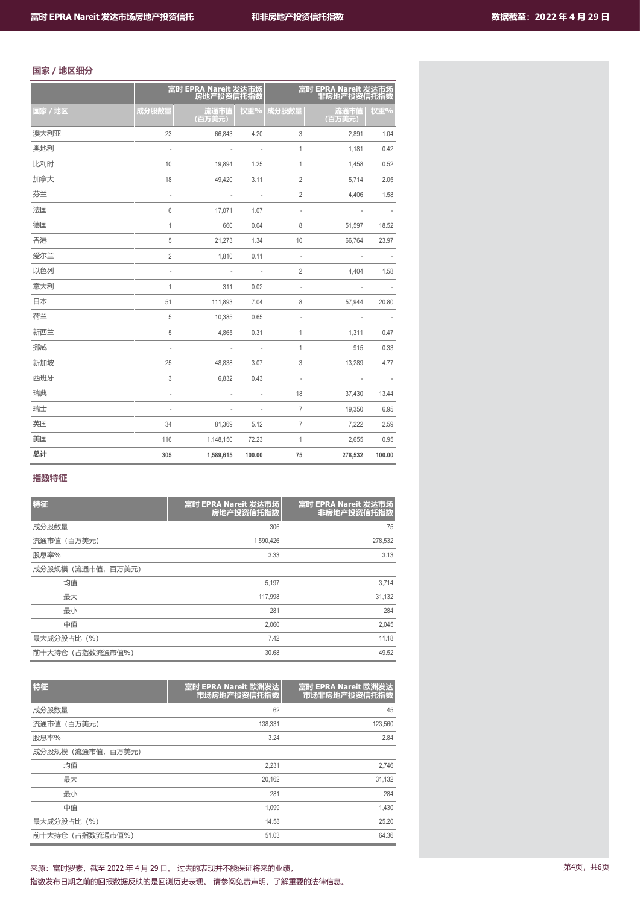# **国家/地区细分**

|         |                          | 富时 EPRA Nareit 发达市场<br>房地产投资信托指数 |                          |                          | 富时 EPRA Nareit 发达市场<br>非房地产投资信托指数 |        |
|---------|--------------------------|----------------------------------|--------------------------|--------------------------|-----------------------------------|--------|
| 国家 / 地区 | 成分股数量                    | 流通市值<br>(百万美元)                   | 权重%                      | 成分股数量                    | 流通市值<br>(百万美元)                    | 权重%    |
| 澳大利亚    | 23                       | 66,843                           | 4.20                     | 3                        | 2,891                             | 1.04   |
| 奥地利     | $\overline{a}$           | $\overline{\phantom{a}}$         | ÷,                       | $\mathbf{1}$             | 1,181                             | 0.42   |
| 比利时     | 10                       | 19,894                           | 1.25                     | $\mathbf{1}$             | 1,458                             | 0.52   |
| 加拿大     | 18                       | 49,420                           | 3.11                     | $\overline{2}$           | 5,714                             | 2.05   |
| 芬兰      | $\overline{a}$           |                                  | $\bar{a}$                | $\overline{2}$           | 4,406                             | 1.58   |
| 法国      | 6                        | 17,071                           | 1.07                     | $\overline{a}$           |                                   |        |
| 德国      | $\mathbf{1}$             | 660                              | 0.04                     | 8                        | 51,597                            | 18.52  |
| 香港      | 5                        | 21,273                           | 1.34                     | 10                       | 66,764                            | 23.97  |
| 爱尔兰     | $\overline{2}$           | 1,810                            | 0.11                     | $\overline{\phantom{a}}$ | ÷,                                |        |
| 以色列     | $\overline{a}$           | $\overline{\phantom{a}}$         | $\sim$                   | $\overline{2}$           | 4,404                             | 1.58   |
| 意大利     | 1                        | 311                              | 0.02                     | $\overline{\phantom{a}}$ | ÷,                                |        |
| 日本      | 51                       | 111,893                          | 7.04                     | 8                        | 57,944                            | 20.80  |
| 荷兰      | 5                        | 10,385                           | 0.65                     | $\overline{\phantom{a}}$ | $\overline{a}$                    |        |
| 新西兰     | 5                        | 4,865                            | 0.31                     | $\mathbf{1}$             | 1,311                             | 0.47   |
| 挪威      | $\overline{\phantom{a}}$ | $\overline{\phantom{a}}$         | $\overline{\phantom{a}}$ | $\mathbf{1}$             | 915                               | 0.33   |
| 新加坡     | 25                       | 48,838                           | 3.07                     | 3                        | 13,289                            | 4.77   |
| 西班牙     | 3                        | 6,832                            | 0.43                     | $\overline{\phantom{a}}$ | $\overline{\phantom{a}}$          |        |
| 瑞典      | $\overline{\phantom{a}}$ | $\overline{\phantom{a}}$         | $\overline{\phantom{a}}$ | 18                       | 37,430                            | 13.44  |
| 瑞士      | $\overline{\phantom{a}}$ | $\overline{\phantom{a}}$         | $\overline{\phantom{a}}$ | $\overline{7}$           | 19,350                            | 6.95   |
| 英国      | 34                       | 81,369                           | 5.12                     | $\overline{7}$           | 7,222                             | 2.59   |
| 美国      | 116                      | 1,148,150                        | 72.23                    | $\mathbf{1}$             | 2,655                             | 0.95   |
| 总计      | 305                      | 1,589,615                        | 100.00                   | 75                       | 278,532                           | 100.00 |

# **指数特征**

| 特征                 | 富时 EPRA Nareit 发达市场<br>房地产投资信托指数 | 富时 EPRA Nareit 发达市场<br>非房地产投资信托指数 |
|--------------------|----------------------------------|-----------------------------------|
| 成分股数量              | 306                              | 75                                |
| 流通市值(百万美元)         | 1,590,426                        | 278,532                           |
| 股息率%               | 3.33                             | 3.13                              |
| 成分股规模 (流通市值, 百万美元) |                                  |                                   |
| 均值                 | 5,197                            | 3,714                             |
| 最大                 | 117,998                          | 31,132                            |
| 最小                 | 281                              | 284                               |
| 中值                 | 2.060                            | 2,045                             |
| 最大成分股占比 (%)        | 7.42                             | 11.18                             |
| 前十大持仓 (占指数流通市值%)   | 30.68                            | 49.52                             |

| 特征                 | 富时 EPRA Nareit 欧洲发达<br>市场房地产投资信托指数 | 富时 EPRA Nareit 欧洲发达<br>市场非房地产投资信托指数 |
|--------------------|------------------------------------|-------------------------------------|
| 成分股数量              | 62                                 | 45                                  |
| 流通市值(百万美元)         | 138.331                            | 123,560                             |
| 股息率%               | 3.24                               | 2.84                                |
| 成分股规模 (流通市值, 百万美元) |                                    |                                     |
| 均值                 | 2,231                              | 2,746                               |
| 最大                 | 20.162                             | 31,132                              |
| 最小                 | 281                                | 284                                 |
| 中值                 | 1.099                              | 1,430                               |
| 最大成分股占比 (%)        | 14.58                              | 25.20                               |
| 前十大持仓 (占指数流通市值%)   | 51.03                              | 64.36                               |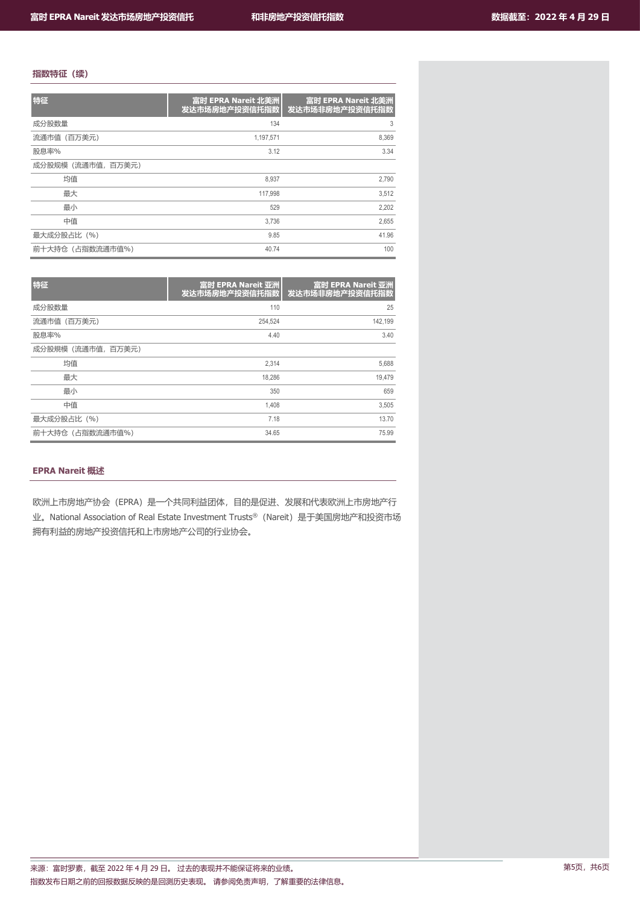# **指数特征(续)**

| 特征                 | 富时 EPRA Nareit 北美洲<br>发达市场房地产投资信托指数 | 富时 EPRA Nareit 北美洲<br>发达市场非房地产投资信托指数 |
|--------------------|-------------------------------------|--------------------------------------|
| 成分股数量              | 134                                 | 3                                    |
| 流通市值 (百万美元)        | 1,197,571                           | 8,369                                |
| 股息率%               | 3.12                                | 3.34                                 |
| 成分股规模 (流通市值, 百万美元) |                                     |                                      |
| 均值                 | 8.937                               | 2,790                                |
| 最大                 | 117.998                             | 3,512                                |
| 最小                 | 529                                 | 2,202                                |
| 中值                 | 3.736                               | 2,655                                |
| 最大成分股占比 (%)        | 9.85                                | 41.96                                |
| 前十大持仓 (占指数流通市值%)   | 40.74                               | 100                                  |

| 特征                | 富时 EPRA Nareit 亚洲<br>发达市场房地产投资信托指数 | 富时 EPRA Nareit 亚洲<br>发达市场非房地产投资信托指数 |
|-------------------|------------------------------------|-------------------------------------|
| 成分股数量             | 110                                | 25                                  |
| 流通市值(百万美元)        | 254.524                            | 142,199                             |
| 股息率%              | 4.40                               | 3.40                                |
| 成分股規模 (流通市值,百万美元) |                                    |                                     |
| 均值                | 2.314                              | 5,688                               |
| 最大                | 18.286                             | 19,479                              |
| 最小                | 350                                | 659                                 |
| 中值                | 1.408                              | 3,505                               |
| 最大成分股占比 (%)       | 7.18                               | 13.70                               |
| 前十大持仓 (占指数流通市值%)  | 34.65                              | 75.99                               |

# **EPRA Nareit 概述**

欧洲上市房地产协会(EPRA)是一个共同利益团体,目的是促进、发展和代表欧洲上市房地产行 业。National Association of Real Estate Investment Trusts®(Nareit)是于美国房地产和投资市场 拥有利益的房地产投资信托和上市房地产公司的行业协会。